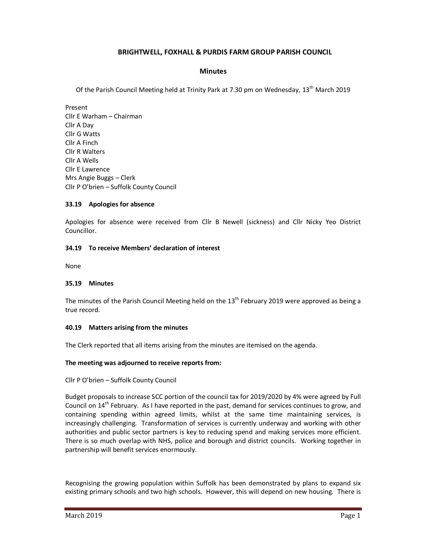## **BRIGHTWELL, FOXHALL & PURDIS FARM GROUP PARISH COUNCIL**

#### **Minutes**

Of the Parish Council Meeting held at Trinity Park at 7.30 pm on Wednesday, 13<sup>th</sup> March 2019

Present Cllr E Warham – Chairman Cllr A Day Cllr G Watts Cllr A Finch Cllr R Walters Cllr A Wells Cllr E Lawrence Mrs Angie Buggs – Clerk Cllr P O'brien – Suffolk County Council

#### **33.19 Apologies for absence**

Apologies for absence were received from Cllr B Newell (sickness) and Cllr Nicky Yeo District Councillor.

#### **34.19 To receive Members' declaration of interest**

None

#### **35.19 Minutes**

The minutes of the Parish Council Meeting held on the  $13<sup>th</sup>$  February 2019 were approved as being a true record.

### **40.19 Matters arising from the minutes**

The Clerk reported that all items arising from the minutes are itemised on the agenda.

### **The meeting was adjourned to receive reports from:**

Cllr P O'brien – Suffolk County Council

Budget proposals to increase SCC portion of the council tax for 2019/2020 by 4% were agreed by Full Council on  $14^{th}$  February. As I have reported in the past, demand for services continues to grow, and containing spending within agreed limits, whilst at the same time maintaining services, is increasingly challenging. Transformation of services is currently underway and working with other authorities and public sector partners is key to reducing spend and making services more efficient. There is so much overlap with NHS, police and borough and district councils. Working together in partnership will benefit services enormously.

Recognising the growing population within Suffolk has been demonstrated by plans to expand six existing primary schools and two high schools. However, this will depend on new housing. There is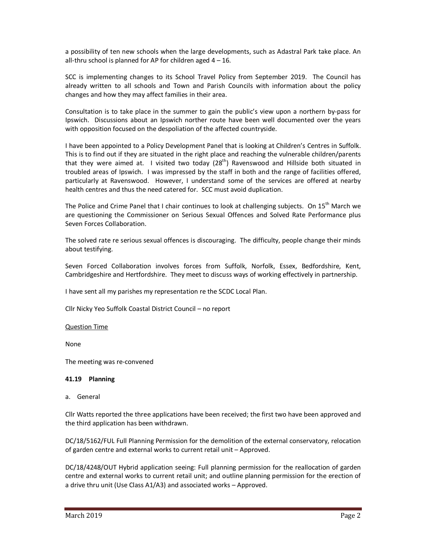a possibility of ten new schools when the large developments, such as Adastral Park take place. An all-thru school is planned for AP for children aged  $4 - 16$ .

SCC is implementing changes to its School Travel Policy from September 2019. The Council has already written to all schools and Town and Parish Councils with information about the policy changes and how they may affect families in their area.

Consultation is to take place in the summer to gain the public's view upon a northern by-pass for Ipswich. Discussions about an Ipswich norther route have been well documented over the years with opposition focused on the despoliation of the affected countryside.

I have been appointed to a Policy Development Panel that is looking at Children's Centres in Suffolk. This is to find out if they are situated in the right place and reaching the vulnerable children/parents that they were aimed at. I visited two today  $(28<sup>th</sup>)$  Ravenswood and Hillside both situated in troubled areas of Ipswich. I was impressed by the staff in both and the range of facilities offered, particularly at Ravenswood. However, I understand some of the services are offered at nearby health centres and thus the need catered for. SCC must avoid duplication.

The Police and Crime Panel that I chair continues to look at challenging subjects. On  $15^{th}$  March we are questioning the Commissioner on Serious Sexual Offences and Solved Rate Performance plus Seven Forces Collaboration.

The solved rate re serious sexual offences is discouraging. The difficulty, people change their minds about testifying.

Seven Forced Collaboration involves forces from Suffolk, Norfolk, Essex, Bedfordshire, Kent, Cambridgeshire and Hertfordshire. They meet to discuss ways of working effectively in partnership.

I have sent all my parishes my representation re the SCDC Local Plan.

Cllr Nicky Yeo Suffolk Coastal District Council – no report

#### Question Time

None

The meeting was re-convened

#### **41.19 Planning**

a. General

Cllr Watts reported the three applications have been received; the first two have been approved and the third application has been withdrawn.

DC/18/5162/FUL Full Planning Permission for the demolition of the external conservatory, relocation of garden centre and external works to current retail unit – Approved.

DC/18/4248/OUT Hybrid application seeing: Full planning permission for the reallocation of garden centre and external works to current retail unit; and outline planning permission for the erection of a drive thru unit (Use Class A1/A3) and associated works – Approved.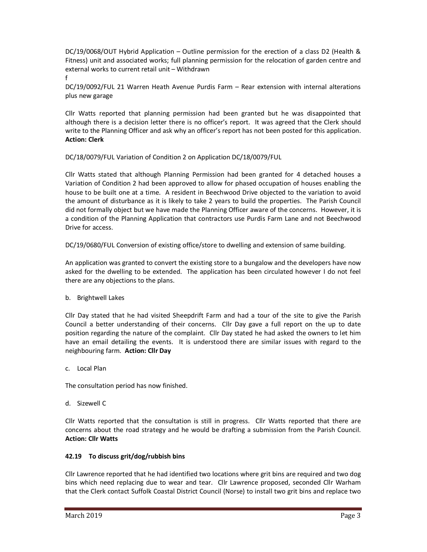DC/19/0068/OUT Hybrid Application – Outline permission for the erection of a class D2 (Health & Fitness) unit and associated works; full planning permission for the relocation of garden centre and external works to current retail unit – Withdrawn

f

DC/19/0092/FUL 21 Warren Heath Avenue Purdis Farm – Rear extension with internal alterations plus new garage

Cllr Watts reported that planning permission had been granted but he was disappointed that although there is a decision letter there is no officer's report. It was agreed that the Clerk should write to the Planning Officer and ask why an officer's report has not been posted for this application. **Action: Clerk** 

DC/18/0079/FUL Variation of Condition 2 on Application DC/18/0079/FUL

Cllr Watts stated that although Planning Permission had been granted for 4 detached houses a Variation of Condition 2 had been approved to allow for phased occupation of houses enabling the house to be built one at a time. A resident in Beechwood Drive objected to the variation to avoid the amount of disturbance as it is likely to take 2 years to build the properties. The Parish Council did not formally object but we have made the Planning Officer aware of the concerns. However, it is a condition of the Planning Application that contractors use Purdis Farm Lane and not Beechwood Drive for access.

DC/19/0680/FUL Conversion of existing office/store to dwelling and extension of same building.

An application was granted to convert the existing store to a bungalow and the developers have now asked for the dwelling to be extended. The application has been circulated however I do not feel there are any objections to the plans.

b. Brightwell Lakes

Cllr Day stated that he had visited Sheepdrift Farm and had a tour of the site to give the Parish Council a better understanding of their concerns. Cllr Day gave a full report on the up to date position regarding the nature of the complaint. Cllr Day stated he had asked the owners to let him have an email detailing the events. It is understood there are similar issues with regard to the neighbouring farm. **Action: Cllr Day**

c. Local Plan

The consultation period has now finished.

d. Sizewell C

Cllr Watts reported that the consultation is still in progress. Cllr Watts reported that there are concerns about the road strategy and he would be drafting a submission from the Parish Council. **Action: Cllr Watts** 

# **42.19 To discuss grit/dog/rubbish bins**

Cllr Lawrence reported that he had identified two locations where grit bins are required and two dog bins which need replacing due to wear and tear. Cllr Lawrence proposed, seconded Cllr Warham that the Clerk contact Suffolk Coastal District Council (Norse) to install two grit bins and replace two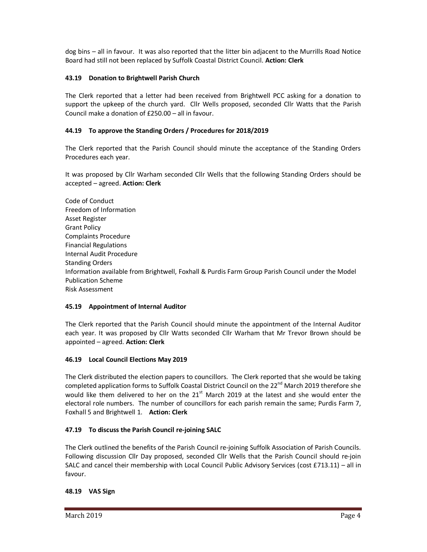dog bins – all in favour. It was also reported that the litter bin adjacent to the Murrills Road Notice Board had still not been replaced by Suffolk Coastal District Council. **Action: Clerk** 

## **43.19 Donation to Brightwell Parish Church**

The Clerk reported that a letter had been received from Brightwell PCC asking for a donation to support the upkeep of the church yard. Cllr Wells proposed, seconded Cllr Watts that the Parish Council make a donation of £250.00 – all in favour.

## **44.19 To approve the Standing Orders / Procedures for 2018/2019**

The Clerk reported that the Parish Council should minute the acceptance of the Standing Orders Procedures each year.

It was proposed by Cllr Warham seconded Cllr Wells that the following Standing Orders should be accepted – agreed. **Action: Clerk** 

Code of Conduct Freedom of Information Asset Register Grant Policy Complaints Procedure Financial Regulations Internal Audit Procedure Standing Orders Information available from Brightwell, Foxhall & Purdis Farm Group Parish Council under the Model Publication Scheme Risk Assessment

### **45.19 Appointment of Internal Auditor**

The Clerk reported that the Parish Council should minute the appointment of the Internal Auditor each year. It was proposed by Cllr Watts seconded Cllr Warham that Mr Trevor Brown should be appointed – agreed. **Action: Clerk**

### **46.19 Local Council Elections May 2019**

The Clerk distributed the election papers to councillors. The Clerk reported that she would be taking completed application forms to Suffolk Coastal District Council on the 22<sup>nd</sup> March 2019 therefore she would like them delivered to her on the  $21<sup>st</sup>$  March 2019 at the latest and she would enter the electoral role numbers. The number of councillors for each parish remain the same; Purdis Farm 7, Foxhall 5 and Brightwell 1. **Action: Clerk** 

# **47.19 To discuss the Parish Council re-joining SALC**

The Clerk outlined the benefits of the Parish Council re-joining Suffolk Association of Parish Councils. Following discussion Cllr Day proposed, seconded Cllr Wells that the Parish Council should re-join SALC and cancel their membership with Local Council Public Advisory Services (cost £713.11) – all in favour.

### **48.19 VAS Sign**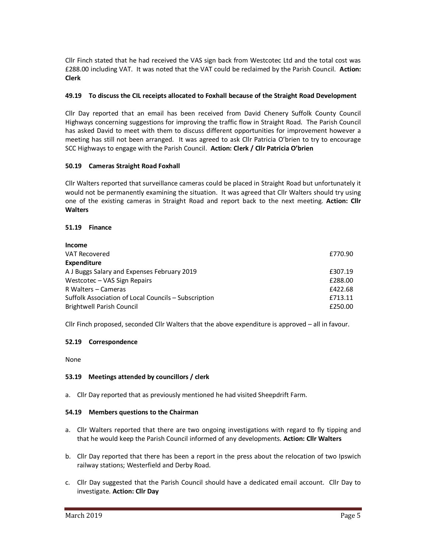Cllr Finch stated that he had received the VAS sign back from Westcotec Ltd and the total cost was £288.00 including VAT. It was noted that the VAT could be reclaimed by the Parish Council. **Action: Clerk**

## **49.19 To discuss the CIL receipts allocated to Foxhall because of the Straight Road Development**

Cllr Day reported that an email has been received from David Chenery Suffolk County Council Highways concerning suggestions for improving the traffic flow in Straight Road. The Parish Council has asked David to meet with them to discuss different opportunities for improvement however a meeting has still not been arranged. It was agreed to ask Cllr Patricia O'brien to try to encourage SCC Highways to engage with the Parish Council. **Action: Clerk / Cllr Patricia O'brien** 

### **50.19 Cameras Straight Road Foxhall**

Cllr Walters reported that surveillance cameras could be placed in Straight Road but unfortunately it would not be permanently examining the situation. It was agreed that Cllr Walters should try using one of the existing cameras in Straight Road and report back to the next meeting. **Action: Cllr Walters** 

### **51.19 Finance**

| <b>Income</b>                                        |         |
|------------------------------------------------------|---------|
| VAT Recovered                                        | £770.90 |
| <b>Expenditure</b>                                   |         |
| A J Buggs Salary and Expenses February 2019          | £307.19 |
| Westcotec – VAS Sign Repairs                         | £288.00 |
| R Walters - Cameras                                  | £422.68 |
| Suffolk Association of Local Councils - Subscription | £713.11 |
| <b>Brightwell Parish Council</b>                     | £250.00 |

Cllr Finch proposed, seconded Cllr Walters that the above expenditure is approved – all in favour.

### **52.19 Correspondence**

None

### **53.19 Meetings attended by councillors / clerk**

a. Cllr Day reported that as previously mentioned he had visited Sheepdrift Farm.

### **54.19 Members questions to the Chairman**

- a. Cllr Walters reported that there are two ongoing investigations with regard to fly tipping and that he would keep the Parish Council informed of any developments. **Action: Cllr Walters**
- b. Cllr Day reported that there has been a report in the press about the relocation of two Ipswich railway stations; Westerfield and Derby Road.
- c. Cllr Day suggested that the Parish Council should have a dedicated email account. Cllr Day to investigate. **Action: Cllr Day**